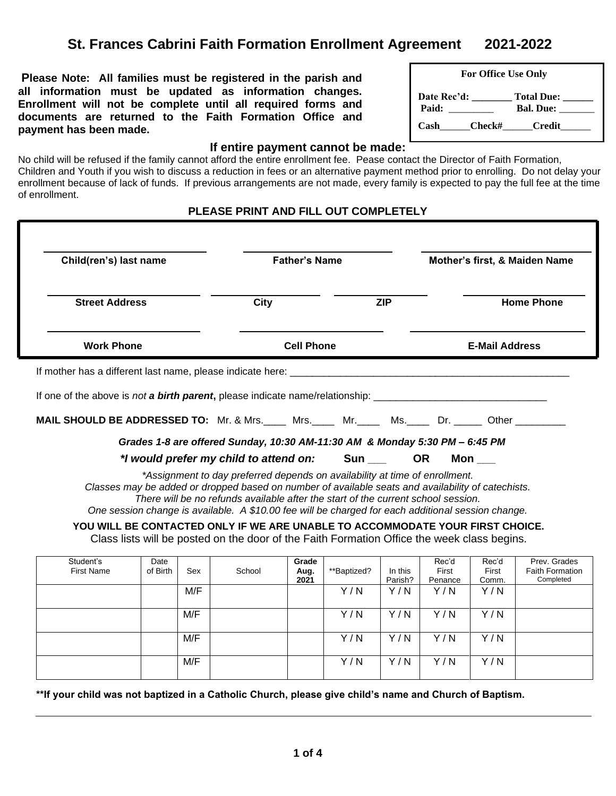# **St. Frances Cabrini Faith Formation Enrollment Agreement 2021-2022**

**Please Note: All families must be registered in the parish and all information must be updated as information changes. Enrollment will not be complete until all required forms and documents are returned to the Faith Formation Office and payment has been made.** 

| <b>For Office Use Only</b> |             |                    |  |  |
|----------------------------|-------------|--------------------|--|--|
|                            | Date Rec'd: | Total Due: ______  |  |  |
|                            | Paid:       | Bal. Due: $\_\_$   |  |  |
|                            |             | Cash Check# Credit |  |  |

 $\overline{\phantom{a}}$ 

#### **If entire payment cannot be made:**

No child will be refused if the family cannot afford the entire enrollment fee. Pease contact the Director of Faith Formation, Children and Youth if you wish to discuss a reduction in fees or an alternative payment method prior to enrolling. Do not delay your enrollment because of lack of funds. If previous arrangements are not made, every family is expected to pay the full fee at the time of enrollment.

#### **PLEASE PRINT AND FILL OUT COMPLETELY**

| Child(ren's) last name                                                                                               |                                                                             | <b>Father's Name</b> |                       | Mother's first, & Maiden Name                             |  |  |
|----------------------------------------------------------------------------------------------------------------------|-----------------------------------------------------------------------------|----------------------|-----------------------|-----------------------------------------------------------|--|--|
| <b>Street Address</b>                                                                                                | City                                                                        | <b>ZIP</b>           |                       | <b>Home Phone</b>                                         |  |  |
| <b>Work Phone</b>                                                                                                    | <b>Cell Phone</b>                                                           |                      | <b>E-Mail Address</b> |                                                           |  |  |
|                                                                                                                      |                                                                             |                      |                       |                                                           |  |  |
| If mother has a different last name, please indicate here:                                                           |                                                                             |                      |                       | <u> 1980 - John Stein, Amerikaansk politiker (* 1908)</u> |  |  |
|                                                                                                                      |                                                                             |                      |                       |                                                           |  |  |
| <b>MAIL SHOULD BE ADDRESSED TO:</b> Mr. & Mrs. Mrs. Mr. Mr. Mr. Ms. Dr. Dr. Mother Manuscher Museum of the Communist |                                                                             |                      |                       |                                                           |  |  |
|                                                                                                                      | Grades 1-8 are offered Sunday, 10:30 AM-11:30 AM & Monday 5:30 PM - 6:45 PM |                      |                       |                                                           |  |  |

*One session change is available. A \$10.00 fee will be charged for each additional session change.*

**YOU WILL BE CONTACTED ONLY IF WE ARE UNABLE TO ACCOMMODATE YOUR FIRST CHOICE.** Class lists will be posted on the door of the Faith Formation Office the week class begins.

| Student's<br><b>First Name</b> | Date<br>of Birth | Sex | School | Grade<br>Aug.<br>2021 | **Baptized? | In this<br>Parish? | Rec'd<br>First<br>Penance | Rec'd<br>First<br>Comm. | Prev. Grades<br><b>Faith Formation</b><br>Completed |
|--------------------------------|------------------|-----|--------|-----------------------|-------------|--------------------|---------------------------|-------------------------|-----------------------------------------------------|
|                                |                  | M/F |        |                       | Y/N         | Y/N                | Y/N                       | Y/N                     |                                                     |
|                                |                  | M/F |        |                       | Y/N         | Y/N                | Y/N                       | Y/N                     |                                                     |
|                                |                  | M/F |        |                       | Y/N         | Y/N                | Y/N                       | Y/N                     |                                                     |
|                                |                  | M/F |        |                       | Y/N         | Y/N                | Y/N                       | Y/N                     |                                                     |

**\*\*If your child was not baptized in a Catholic Church, please give child's name and Church of Baptism.**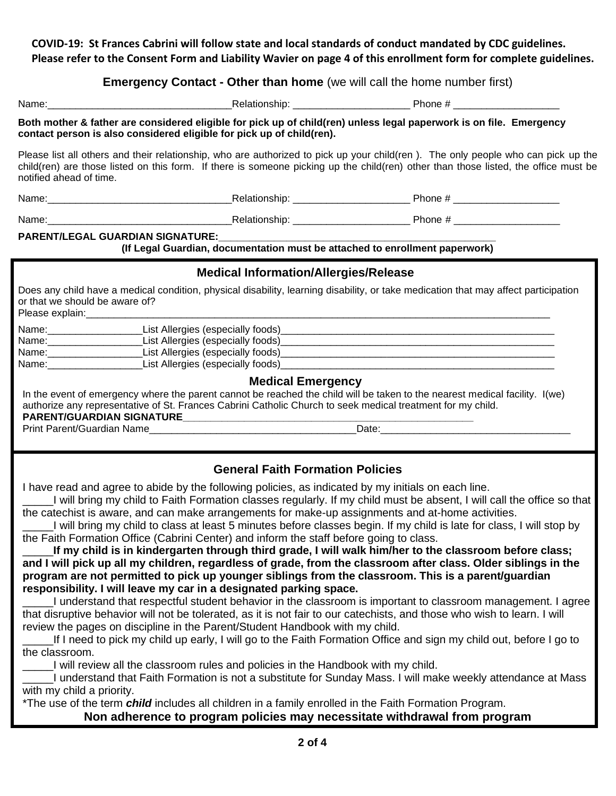**COVID-19: St Frances Cabrini will follow state and local standards of conduct mandated by CDC guidelines. Please refer to the Consent Form and Liability Wavier on page 4 of this enrollment form for complete guidelines.**

## **Emergency Contact - Other than home** (we will call the home number first)

| Name:                                                                                                                                                                                                                                                                                                                                                                                                                                                                                                                                                                                         |                                              |                                                                                                                                                                                                                                                                                                                                                                                                                                                                                                                                                                                                                                                                                                                                                                                                                                                                                                                                                                                                                                                                    |
|-----------------------------------------------------------------------------------------------------------------------------------------------------------------------------------------------------------------------------------------------------------------------------------------------------------------------------------------------------------------------------------------------------------------------------------------------------------------------------------------------------------------------------------------------------------------------------------------------|----------------------------------------------|--------------------------------------------------------------------------------------------------------------------------------------------------------------------------------------------------------------------------------------------------------------------------------------------------------------------------------------------------------------------------------------------------------------------------------------------------------------------------------------------------------------------------------------------------------------------------------------------------------------------------------------------------------------------------------------------------------------------------------------------------------------------------------------------------------------------------------------------------------------------------------------------------------------------------------------------------------------------------------------------------------------------------------------------------------------------|
| contact person is also considered eligible for pick up of child(ren).                                                                                                                                                                                                                                                                                                                                                                                                                                                                                                                         |                                              | Both mother & father are considered eligible for pick up of child(ren) unless legal paperwork is on file. Emergency                                                                                                                                                                                                                                                                                                                                                                                                                                                                                                                                                                                                                                                                                                                                                                                                                                                                                                                                                |
| notified ahead of time.                                                                                                                                                                                                                                                                                                                                                                                                                                                                                                                                                                       |                                              | Please list all others and their relationship, who are authorized to pick up your child(ren). The only people who can pick up the<br>child(ren) are those listed on this form. If there is someone picking up the child(ren) other than those listed, the office must be                                                                                                                                                                                                                                                                                                                                                                                                                                                                                                                                                                                                                                                                                                                                                                                           |
|                                                                                                                                                                                                                                                                                                                                                                                                                                                                                                                                                                                               |                                              |                                                                                                                                                                                                                                                                                                                                                                                                                                                                                                                                                                                                                                                                                                                                                                                                                                                                                                                                                                                                                                                                    |
|                                                                                                                                                                                                                                                                                                                                                                                                                                                                                                                                                                                               |                                              |                                                                                                                                                                                                                                                                                                                                                                                                                                                                                                                                                                                                                                                                                                                                                                                                                                                                                                                                                                                                                                                                    |
| <b>PARENT/LEGAL GUARDIAN SIGNATURE:</b>                                                                                                                                                                                                                                                                                                                                                                                                                                                                                                                                                       |                                              |                                                                                                                                                                                                                                                                                                                                                                                                                                                                                                                                                                                                                                                                                                                                                                                                                                                                                                                                                                                                                                                                    |
|                                                                                                                                                                                                                                                                                                                                                                                                                                                                                                                                                                                               |                                              | (If Legal Guardian, documentation must be attached to enrollment paperwork)                                                                                                                                                                                                                                                                                                                                                                                                                                                                                                                                                                                                                                                                                                                                                                                                                                                                                                                                                                                        |
|                                                                                                                                                                                                                                                                                                                                                                                                                                                                                                                                                                                               | <b>Medical Information/Allergies/Release</b> |                                                                                                                                                                                                                                                                                                                                                                                                                                                                                                                                                                                                                                                                                                                                                                                                                                                                                                                                                                                                                                                                    |
| or that we should be aware of?                                                                                                                                                                                                                                                                                                                                                                                                                                                                                                                                                                |                                              | Does any child have a medical condition, physical disability, learning disability, or take medication that may affect participation                                                                                                                                                                                                                                                                                                                                                                                                                                                                                                                                                                                                                                                                                                                                                                                                                                                                                                                                |
|                                                                                                                                                                                                                                                                                                                                                                                                                                                                                                                                                                                               |                                              |                                                                                                                                                                                                                                                                                                                                                                                                                                                                                                                                                                                                                                                                                                                                                                                                                                                                                                                                                                                                                                                                    |
|                                                                                                                                                                                                                                                                                                                                                                                                                                                                                                                                                                                               |                                              |                                                                                                                                                                                                                                                                                                                                                                                                                                                                                                                                                                                                                                                                                                                                                                                                                                                                                                                                                                                                                                                                    |
|                                                                                                                                                                                                                                                                                                                                                                                                                                                                                                                                                                                               |                                              |                                                                                                                                                                                                                                                                                                                                                                                                                                                                                                                                                                                                                                                                                                                                                                                                                                                                                                                                                                                                                                                                    |
| authorize any representative of St. Frances Cabrini Catholic Church to seek medical treatment for my child.                                                                                                                                                                                                                                                                                                                                                                                                                                                                                   | <b>Medical Emergency</b>                     | In the event of emergency where the parent cannot be reached the child will be taken to the nearest medical facility. I(we)                                                                                                                                                                                                                                                                                                                                                                                                                                                                                                                                                                                                                                                                                                                                                                                                                                                                                                                                        |
|                                                                                                                                                                                                                                                                                                                                                                                                                                                                                                                                                                                               | <b>General Faith Formation Policies</b>      |                                                                                                                                                                                                                                                                                                                                                                                                                                                                                                                                                                                                                                                                                                                                                                                                                                                                                                                                                                                                                                                                    |
| I have read and agree to abide by the following policies, as indicated by my initials on each line.<br>the catechist is aware, and can make arrangements for make-up assignments and at-home activities.<br>the Faith Formation Office (Cabrini Center) and inform the staff before going to class.<br>responsibility. I will leave my car in a designated parking space.<br>review the pages on discipline in the Parent/Student Handbook with my child.<br>the classroom.<br>I will review all the classroom rules and policies in the Handbook with my child.<br>with my child a priority. |                                              | I will bring my child to Faith Formation classes regularly. If my child must be absent, I will call the office so that<br>I will bring my child to class at least 5 minutes before classes begin. If my child is late for class, I will stop by<br>If my child is in kindergarten through third grade, I will walk him/her to the classroom before class;<br>and I will pick up all my children, regardless of grade, from the classroom after class. Older siblings in the<br>program are not permitted to pick up younger siblings from the classroom. This is a parent/guardian<br>understand that respectful student behavior in the classroom is important to classroom management. I agree<br>that disruptive behavior will not be tolerated, as it is not fair to our catechists, and those who wish to learn. I will<br>If I need to pick my child up early, I will go to the Faith Formation Office and sign my child out, before I go to<br>I understand that Faith Formation is not a substitute for Sunday Mass. I will make weekly attendance at Mass |
| *The use of the term <i>child</i> includes all children in a family enrolled in the Faith Formation Program.                                                                                                                                                                                                                                                                                                                                                                                                                                                                                  |                                              |                                                                                                                                                                                                                                                                                                                                                                                                                                                                                                                                                                                                                                                                                                                                                                                                                                                                                                                                                                                                                                                                    |
|                                                                                                                                                                                                                                                                                                                                                                                                                                                                                                                                                                                               |                                              | Non adherence to program policies may necessitate withdrawal from program                                                                                                                                                                                                                                                                                                                                                                                                                                                                                                                                                                                                                                                                                                                                                                                                                                                                                                                                                                                          |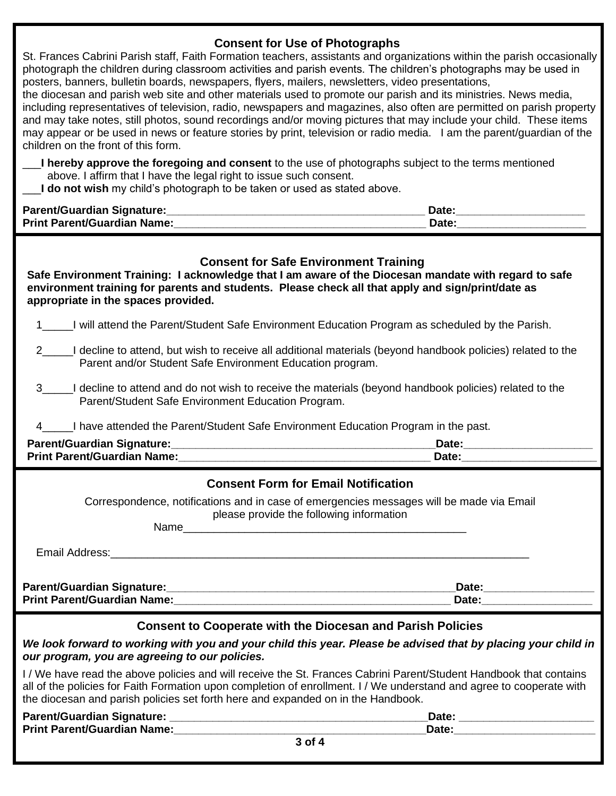### **Consent for Use of Photographs**

St. Frances Cabrini Parish staff, Faith Formation teachers, assistants and organizations within the parish occasionally photograph the children during classroom activities and parish events. The children's photographs may be used in posters, banners, bulletin boards, newspapers, flyers, mailers, newsletters, video presentations, the diocesan and parish web site and other materials used to promote our parish and its ministries. News media,

including representatives of television, radio, newspapers and magazines, also often are permitted on parish property and may take notes, still photos, sound recordings and/or moving pictures that may include your child. These items may appear or be used in news or feature stories by print, television or radio media. I am the parent/guardian of the children on the front of this form.

- \_\_\_**I hereby approve the foregoing and consent** to the use of photographs subject to the terms mentioned above. I affirm that I have the legal right to issue such consent.
- I do not wish my child's photograph to be taken or used as stated above.

| Parent/Guardian Signature:         | <b>Date</b> |
|------------------------------------|-------------|
| <b>Print Parent/Guardian Name:</b> | Date:       |

## **Consent for Safe Environment Training**

**Safe Environment Training: I acknowledge that I am aware of the Diocesan mandate with regard to safe environment training for parents and students. Please check all that apply and sign/print/date as appropriate in the spaces provided.**

- 1\_\_\_\_\_I will attend the Parent/Student Safe Environment Education Program as scheduled by the Parish.
- I decline to attend, but wish to receive all additional materials (beyond handbook policies) related to the Parent and/or Student Safe Environment Education program.
- 3\_\_\_\_\_I decline to attend and do not wish to receive the materials (beyond handbook policies) related to the Parent/Student Safe Environment Education Program.
- I have attended the Parent/Student Safe Environment Education Program in the past.

| <b>Parent/Guardian Signature:</b>  | Date |
|------------------------------------|------|
| <b>Print Parent/Guardian Name:</b> | Date |

| <b>Consent Form for Email Notification</b>                                                                                           |                                                                                                                                                                                                                                |  |  |  |  |
|--------------------------------------------------------------------------------------------------------------------------------------|--------------------------------------------------------------------------------------------------------------------------------------------------------------------------------------------------------------------------------|--|--|--|--|
| Correspondence, notifications and in case of emergencies messages will be made via Email<br>please provide the following information |                                                                                                                                                                                                                                |  |  |  |  |
|                                                                                                                                      |                                                                                                                                                                                                                                |  |  |  |  |
|                                                                                                                                      |                                                                                                                                                                                                                                |  |  |  |  |
|                                                                                                                                      |                                                                                                                                                                                                                                |  |  |  |  |
| <b>Print Parent/Guardian Name:</b> Name: 2008 2009 2012 2022 2023 2024 2022 2023 2024 2022 2023 2024 2022 2023 2022 20               | Date: the contract of the contract of the contract of the contract of the contract of the contract of the contract of the contract of the contract of the contract of the contract of the contract of the contract of the cont |  |  |  |  |
| <b>Consent to Cooperate with the Diocesan and Parish Policies</b>                                                                    |                                                                                                                                                                                                                                |  |  |  |  |

*We look forward to working with you and your child this year. Please be advised that by placing your child in our program, you are agreeing to our policies.*

I / We have read the above policies and will receive the St. Frances Cabrini Parent/Student Handbook that contains all of the policies for Faith Formation upon completion of enrollment. I / We understand and agree to cooperate with the diocesan and parish policies set forth here and expanded on in the Handbook.

| Parent/Guardian Signature:         |        | Date: |  |
|------------------------------------|--------|-------|--|
| <b>Print Parent/Guardian Name:</b> |        | Date. |  |
|                                    | 3 of 4 |       |  |